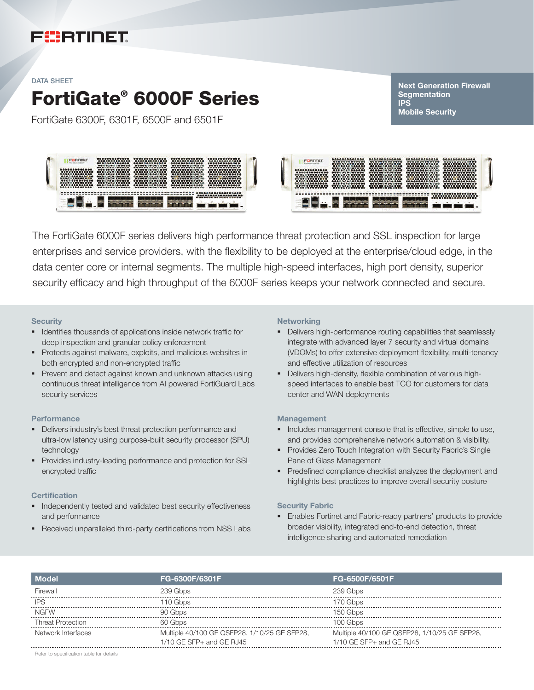# FURTIDET

#### DATA SHEET

# FortiGate® 6000F Series

FortiGate 6300F, 6301F, 6500F and 6501F

Next Generation Firewall **Segmentation IPS** Mobile Security





The FortiGate 6000F series delivers high performance threat protection and SSL inspection for large enterprises and service providers, with the flexibility to be deployed at the enterprise/cloud edge, in the data center core or internal segments. The multiple high-speed interfaces, high port density, superior security efficacy and high throughput of the 6000F series keeps your network connected and secure.

#### **Security**

- Identifies thousands of applications inside network traffic for deep inspection and granular policy enforcement
- § Protects against malware, exploits, and malicious websites in both encrypted and non-encrypted traffic
- § Prevent and detect against known and unknown attacks using continuous threat intelligence from AI powered FortiGuard Labs security services

#### **Performance**

- § Delivers industry's best threat protection performance and ultra-low latency using purpose-built security processor (SPU) technology
- § Provides industry-leading performance and protection for SSL encrypted traffic

#### **Certification**

- Independently tested and validated best security effectiveness and performance
- Received unparalleled third-party certifications from NSS Labs

#### **Networking**

- Delivers high-performance routing capabilities that seamlessly integrate with advanced layer 7 security and virtual domains (VDOMs) to offer extensive deployment flexibility, multi-tenancy and effective utilization of resources
- **•** Delivers high-density, flexible combination of various highspeed interfaces to enable best TCO for customers for data center and WAN deployments

#### **Management**

- **•** Includes management console that is effective, simple to use, and provides comprehensive network automation & visibility.
- **Provides Zero Touch Integration with Security Fabric's Single** Pane of Glass Management
- Predefined compliance checklist analyzes the deployment and highlights best practices to improve overall security posture

#### Security Fabric

§ Enables Fortinet and Fabric-ready partners' products to provide broader visibility, integrated end-to-end detection, threat intelligence sharing and automated remediation

| <b>Model</b>             | FG-6300F/6301F                               | FG-6500F/6501F                               |
|--------------------------|----------------------------------------------|----------------------------------------------|
| Firewall                 | 239 Gbps                                     | 239 Gbps                                     |
| IPS                      | 110 Gbps                                     | 170 Ghns                                     |
| <b>NGFW</b>              | 90 Ghns                                      | 150 Gbps                                     |
| <b>Threat Protection</b> | 60 Ghns                                      | 100 Gbps                                     |
| Network Interfaces       | Multiple 40/100 GE QSFP28, 1/10/25 GE SFP28, | Multiple 40/100 GE QSFP28, 1/10/25 GE SFP28, |
|                          | $1/10$ GE SFP $+$ and GE RJ45                | $1/10$ GE SFP $+$ and GE RJ45                |

Refer to specification table for details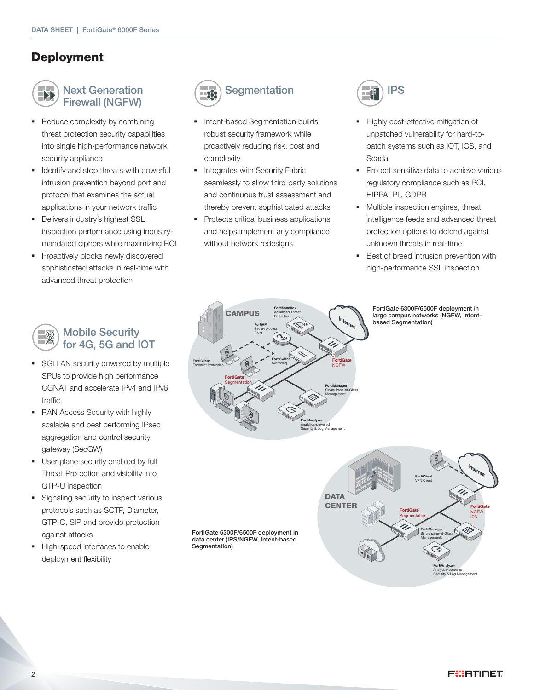# Deployment



Next Generation Firewall (NGFW)

- Reduce complexity by combining threat protection security capabilities into single high-performance network security appliance
- Identify and stop threats with powerful intrusion prevention beyond port and protocol that examines the actual applications in your network traffic
- **•** Delivers industry's highest SSL inspection performance using industrymandated ciphers while maximizing ROI
- § Proactively blocks newly discovered sophisticated attacks in real-time with advanced threat protection



- **SGi LAN security powered by multiple** SPUs to provide high performance CGNAT and accelerate IPv4 and IPv6 traffic
- RAN Access Security with highly scalable and best performing IPsec aggregation and control security gateway (SecGW)
- **■** User plane security enabled by full Threat Protection and visibility into GTP-U inspection
- Signaling security to inspect various protocols such as SCTP, Diameter, GTP-C, SIP and provide protection against attacks
- § High-speed interfaces to enable deployment flexibility



# **Segmentation**

- § Intent-based Segmentation builds robust security framework while proactively reducing risk, cost and complexity
- **■** Integrates with Security Fabric seamlessly to allow third party solutions and continuous trust assessment and thereby prevent sophisticated attacks
- Protects critical business applications and helps implement any compliance without network redesigns

IPS

- § Highly cost-effective mitigation of unpatched vulnerability for hard-topatch systems such as IOT, ICS, and Scada
- Protect sensitive data to achieve various regulatory compliance such as PCI, HIPPA, PII, GDPR
- § Multiple inspection engines, threat intelligence feeds and advanced threat protection options to defend against unknown threats in real-time
- Best of breed intrusion prevention with high-performance SSL inspection



FortiGate 6300F/6500F deployment in large campus networks (NGFW, Intentbased Segmentation)

FortiClient VPN Client FortiGate NGFW IPS **DATA CENTER** FortiAnalyzer Analytics-powered Security & Log Management FortiManager Single pane-of-Glass Managementt FortiGate **Segmentation** 

**FÜRTINET** 

FortiGate 6300F/6500F deployment in data center (IPS/NGFW, Intent-based Segmentation)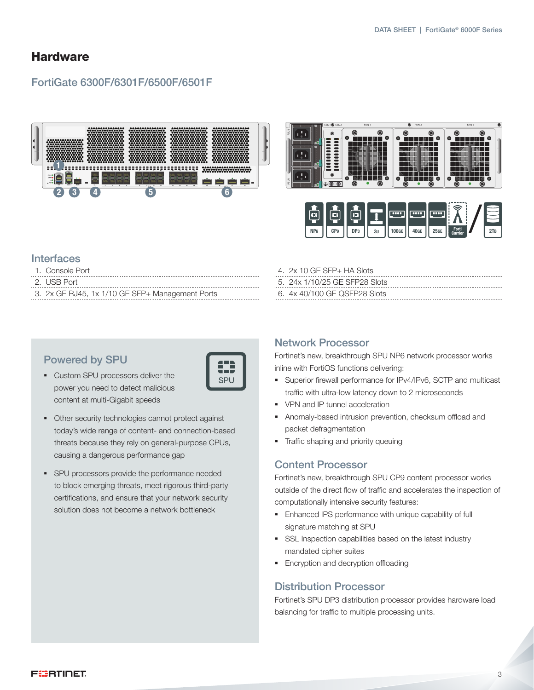### **Hardware**

### FortiGate 6300F/6301F/6500F/6501F





#### **Interfaces**

- 1. Console Port
- 2. USB Port
- 3. 2x GE RJ45, 1x 1/10 GE SFP+ Management Ports

#### Powered by SPU

- § Custom SPU processors deliver the power you need to detect malicious content at multi-Gigabit speeds
- § Other security technologies cannot protect against today's wide range of content- and connection-based threats because they rely on general-purpose CPUs, causing a dangerous performance gap

SPU

§ SPU processors provide the performance needed to block emerging threats, meet rigorous third-party certifications, and ensure that your network security solution does not become a network bottleneck

#### Network Processor

4. 2x 10 GE SFP+ HA Slots 5. 24x 1/10/25 GE SFP28 Slots 6. 4x 40/100 GE QSFP28 Slots

Fortinet's new, breakthrough SPU NP6 network processor works inline with FortiOS functions delivering:

- § Superior firewall performance for IPv4/IPv6, SCTP and multicast traffic with ultra-low latency down to 2 microseconds
- VPN and IP tunnel acceleration
- § Anomaly-based intrusion prevention, checksum offload and packet defragmentation
- § Traffic shaping and priority queuing

#### Content Processor

Fortinet's new, breakthrough SPU CP9 content processor works outside of the direct flow of traffic and accelerates the inspection of computationally intensive security features:

- **Enhanced IPS performance with unique capability of full** signature matching at SPU
- SSL Inspection capabilities based on the latest industry mandated cipher suites
- **Encryption and decryption offloading**

#### Distribution Processor

Fortinet's SPU DP3 distribution processor provides hardware load balancing for traffic to multiple processing units.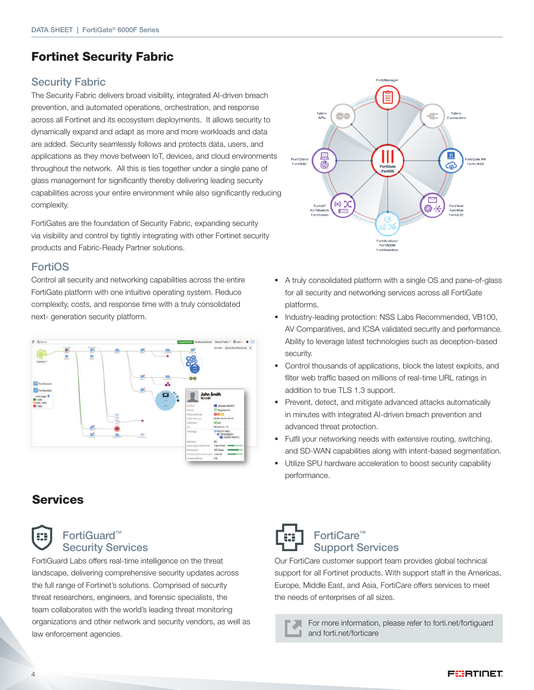# Fortinet Security Fabric

### Security Fabric

The Security Fabric delivers broad visibility, integrated AI-driven breach prevention, and automated operations, orchestration, and response across all Fortinet and its ecosystem deployments. It allows security to dynamically expand and adapt as more and more workloads and data are added. Security seamlessly follows and protects data, users, and applications as they move between IoT, devices, and cloud environments throughout the network. All this is ties together under a single pane of glass management for significantly thereby delivering leading security capabilities across your entire environment while also significantly reducing complexity.

FortiGates are the foundation of Security Fabric, expanding security via visibility and control by tightly integrating with other Fortinet security products and Fabric-Ready Partner solutions.

### FortiOS

Control all security and networking capabilities across the entire FortiGate platform with one intuitive operating system. Reduce complexity, costs, and response time with a truly consolidated next- generation security platform.



# Services



### FortiGuard™ Security Services

FortiGuard Labs offers real-time intelligence on the threat landscape, delivering comprehensive security updates across the full range of Fortinet's solutions. Comprised of security threat researchers, engineers, and forensic specialists, the team collaborates with the world's leading threat monitoring organizations and other network and security vendors, as well as law enforcement agencies.



- § A truly consolidated platform with a single OS and pane-of-glass for all security and networking services across all FortiGate platforms.
- § Industry-leading protection: NSS Labs Recommended, VB100, AV Comparatives, and ICSA validated security and performance. Ability to leverage latest technologies such as deception-based security.
- § Control thousands of applications, block the latest exploits, and filter web traffic based on millions of real-time URL ratings in addition to true TLS 1.3 support.
- Prevent, detect, and mitigate advanced attacks automatically in minutes with integrated AI-driven breach prevention and advanced threat protection.
- Fulfil your networking needs with extensive routing, switching, and SD-WAN capabilities along with intent-based segmentation.
- § Utilize SPU hardware acceleration to boost security capability performance.



## FortiCare™ Support Services

Our FortiCare customer support team provides global technical support for all Fortinet products. With support staff in the Americas, Europe, Middle East, and Asia, FortiCare offers services to meet the needs of enterprises of all sizes.

> For more information, please refer to forti.net/fortiguard л and forti.net/forticare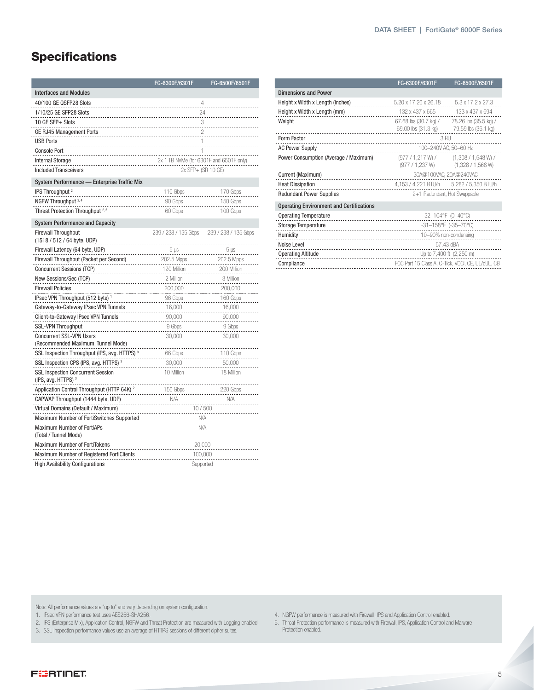# **Specifications**

|                                                                            | FG-6300F/6301F                          | FG-6500F/6501F       |  |  |
|----------------------------------------------------------------------------|-----------------------------------------|----------------------|--|--|
| <b>Interfaces and Modules</b>                                              |                                         |                      |  |  |
| 40/100 GE QSFP28 Slots                                                     | 4                                       |                      |  |  |
| 1/10/25 GE SFP28 Slots                                                     |                                         | 24                   |  |  |
| 10 GE SFP+ Slots                                                           | 3                                       |                      |  |  |
| GE RJ45 Management Ports                                                   | 2                                       |                      |  |  |
| <b>USB Ports</b>                                                           | 1                                       |                      |  |  |
| <b>Console Port</b>                                                        | 1                                       |                      |  |  |
| <b>Internal Storage</b>                                                    | 2x 1 TB NVMe (for 6301F and 6501F only) |                      |  |  |
| <b>Included Transceivers</b>                                               | 2x SFP+ (SR 10 GE)                      |                      |  |  |
| System Performance - Enterprise Traffic Mix                                |                                         |                      |  |  |
| IPS Throughput <sup>2</sup>                                                | 110 Gbps                                | 170 Gbps             |  |  |
| NGFW Throughput <sup>2, 4</sup>                                            | 90 Gbps                                 | 150 Gbps             |  |  |
| Threat Protection Throughput <sup>2,5</sup>                                | 60 Gbps                                 | 100 Gbps             |  |  |
| <b>System Performance and Capacity</b>                                     |                                         |                      |  |  |
| <b>Firewall Throughput</b><br>(1518 / 512 / 64 byte, UDP)                  | 239 / 238 / 135 Gbps                    | 239 / 238 / 135 Gbps |  |  |
| Firewall Latency (64 byte, UDP)                                            | $5 \mu s$                               | $5 \,\mathrm{\mu s}$ |  |  |
| Firewall Throughput (Packet per Second)                                    | 202.5 Mpps                              | 202.5 Mpps           |  |  |
| Concurrent Sessions (TCP)                                                  | 120 Million                             | 200 Million          |  |  |
| New Sessions/Sec (TCP)                                                     | 2 Million                               | 3 Million            |  |  |
| <b>Firewall Policies</b>                                                   | 200,000                                 | 200,000              |  |  |
| IPsec VPN Throughput (512 byte) <sup>1</sup>                               | 96 Gbps                                 | 160 Gbps             |  |  |
| Gateway-to-Gateway IPsec VPN Tunnels                                       | 16,000                                  | 16,000               |  |  |
| Client-to-Gateway IPsec VPN Tunnels                                        | 90,000                                  | 90,000               |  |  |
| <b>SSL-VPN Throughput</b>                                                  | 9 Gbps                                  | 9 Gbps               |  |  |
| <b>Concurrent SSL-VPN Users</b>                                            | 30,000                                  | 30,000               |  |  |
| (Recommended Maximum, Tunnel Mode)                                         |                                         |                      |  |  |
| SSL Inspection Throughput (IPS, avg. HTTPS) <sup>3</sup>                   | 66 Gbps                                 | 110 Gbps             |  |  |
| SSL Inspection CPS (IPS, avg. HTTPS) <sup>3</sup>                          | 30,000                                  | 50,000               |  |  |
| <b>SSL Inspection Concurrent Session</b><br>(IPS, avg. HTTPS) <sup>3</sup> | 10 Million                              | 18 Million           |  |  |
| Application Control Throughput (HTTP 64K) <sup>2</sup>                     | 150 Gbps                                | 220 Gbps             |  |  |
| CAPWAP Throughput (1444 byte, UDP)                                         | N/A                                     | N/A                  |  |  |
| Virtual Domains (Default / Maximum)                                        | 10/500                                  |                      |  |  |
| Maximum Number of FortiSwitches Supported                                  | N/A                                     |                      |  |  |
| Maximum Number of FortiAPs<br>(Total / Tunnel Mode)                        | N/A                                     |                      |  |  |
| Maximum Number of FortiTokens                                              | 20,000                                  |                      |  |  |
| Maximum Number of Registered FortiClients                                  | 100,000                                 |                      |  |  |
| <b>High Availability Configurations</b>                                    | Supported                               |                      |  |  |

|                                                 | FG-6300F/6301F                                    | FG-6500F/6501F                        |  |
|-------------------------------------------------|---------------------------------------------------|---------------------------------------|--|
| <b>Dimensions and Power</b>                     |                                                   |                                       |  |
| Height x Width x Length (inches)                | 5.20 x 17.20 x 26.18                              | 5.3 x 17.2 x 27.3                     |  |
| Height x Width x Length (mm)                    | 132 x 437 x 665                                   | 133 x 437 x 694                       |  |
| Weight                                          | 67.68 lbs (30.7 kg) / 78.26 lbs (35.5 kg) /       |                                       |  |
|                                                 | 69.00 lbs (31.3 kg)                               | 79.59 lbs (36.1 kg)                   |  |
| Form Factor                                     | 3 RU                                              |                                       |  |
| <b>AC Power Supply</b>                          | 100-240V AC, 50-60 Hz                             |                                       |  |
| Power Consumption (Average / Maximum)           |                                                   | $(977 / 1,217 W)$ $(1,308 / 1,548 W)$ |  |
|                                                 |                                                   | $(977 / 1,237 W)$ $(1,328 / 1,568 W)$ |  |
| Current (Maximum)                               | 30A@100VAC, 20A@240VAC                            |                                       |  |
| <b>Heat Dissipation</b>                         | 4,153 / 4,221 BTU/h 5,282 / 5,350 BTU/h           |                                       |  |
| <b>Redundant Power Supplies</b>                 | 2+1 Redundant, Hot Swappable                      |                                       |  |
| <b>Operating Environment and Certifications</b> |                                                   |                                       |  |
| <b>Operating Temperature</b>                    | 32-104°F (0-40°C)                                 |                                       |  |
| <b>Storage Temperature</b>                      | $-31-158$ °F (-35-70°C)                           |                                       |  |
| Humidity                                        | 10-90% non-condensing                             |                                       |  |
| Noise Level                                     | 57.43 dBA                                         |                                       |  |
| <b>Operating Altitude</b>                       | Up to 7,400 ft (2,250 m)                          |                                       |  |
| Compliance                                      | FCC Part 15 Class A, C-Tick, VCCI, CE, UL/cUL, CB |                                       |  |

Note: All performance values are "up to" and vary depending on system configuration.

1. IPsec VPN performance test uses AES256-SHA256.

2. IPS (Enterprise Mix), Application Control, NGFW and Threat Protection are measured with Logging enabled.

3. SSL Inspection performance values use an average of HTTPS sessions of different cipher suites.

4. NGFW performance is measured with Firewall, IPS and Application Control enabled.

5. Threat Protection performance is measured with Firewall, IPS, Application Control and Malware Protection enabled.